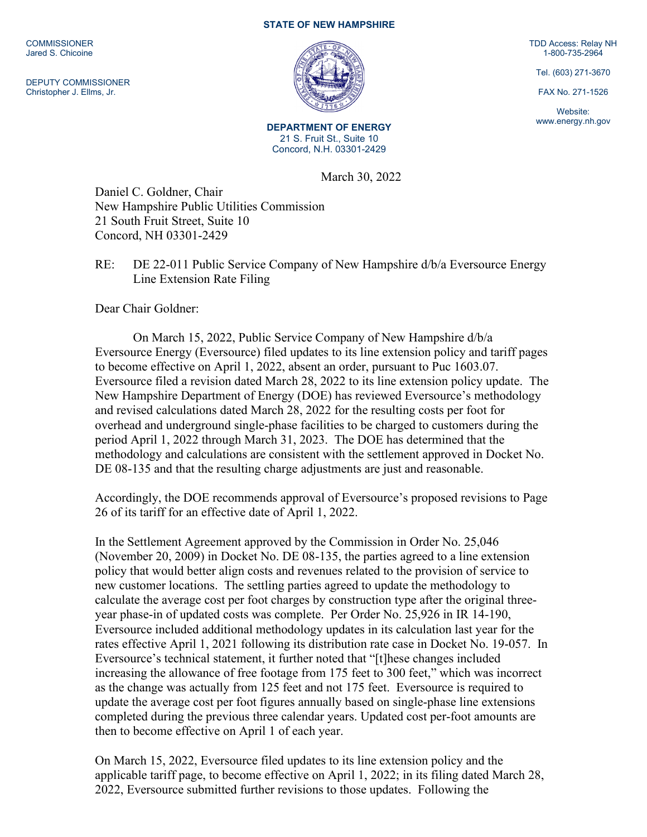**COMMISSIONER** Jared S. Chicoine

DEPUTY COMMISSIONER Christopher J. Ellms, Jr.

## **STATE OF NEW HAMPSHIRE**



**DEPARTMENT OF ENERGY** 21 S. Fruit St., Suite 10 Concord, N.H. 03301-2429

March 30, 2022

Daniel C. Goldner, Chair New Hampshire Public Utilities Commission 21 South Fruit Street, Suite 10 Concord, NH 03301-2429

RE: DE 22-011 Public Service Company of New Hampshire d/b/a Eversource Energy Line Extension Rate Filing

Dear Chair Goldner:

On March 15, 2022, Public Service Company of New Hampshire d/b/a Eversource Energy (Eversource) filed updates to its line extension policy and tariff pages to become effective on April 1, 2022, absent an order, pursuant to Puc 1603.07. Eversource filed a revision dated March 28, 2022 to its line extension policy update. The New Hampshire Department of Energy (DOE) has reviewed Eversource's methodology and revised calculations dated March 28, 2022 for the resulting costs per foot for overhead and underground single-phase facilities to be charged to customers during the period April 1, 2022 through March 31, 2023. The DOE has determined that the methodology and calculations are consistent with the settlement approved in Docket No. DE 08-135 and that the resulting charge adjustments are just and reasonable.

Accordingly, the DOE recommends approval of Eversource's proposed revisions to Page 26 of its tariff for an effective date of April 1, 2022.

In the Settlement Agreement approved by the Commission in Order No. 25,046 (November 20, 2009) in Docket No. DE 08-135, the parties agreed to a line extension policy that would better align costs and revenues related to the provision of service to new customer locations. The settling parties agreed to update the methodology to calculate the average cost per foot charges by construction type after the original threeyear phase-in of updated costs was complete. Per Order No. 25,926 in IR 14-190, Eversource included additional methodology updates in its calculation last year for the rates effective April 1, 2021 following its distribution rate case in Docket No. 19-057. In Eversource's technical statement, it further noted that "[t]hese changes included increasing the allowance of free footage from 175 feet to 300 feet," which was incorrect as the change was actually from 125 feet and not 175 feet. Eversource is required to update the average cost per foot figures annually based on single-phase line extensions completed during the previous three calendar years. Updated cost per-foot amounts are then to become effective on April 1 of each year.

On March 15, 2022, Eversource filed updates to its line extension policy and the applicable tariff page, to become effective on April 1, 2022; in its filing dated March 28, 2022, Eversource submitted further revisions to those updates. Following the

TDD Access: Relay NH 1-800-735-2964

Tel. (603) 271-3670

FAX No. 271-1526

Website: www.energy.nh.gov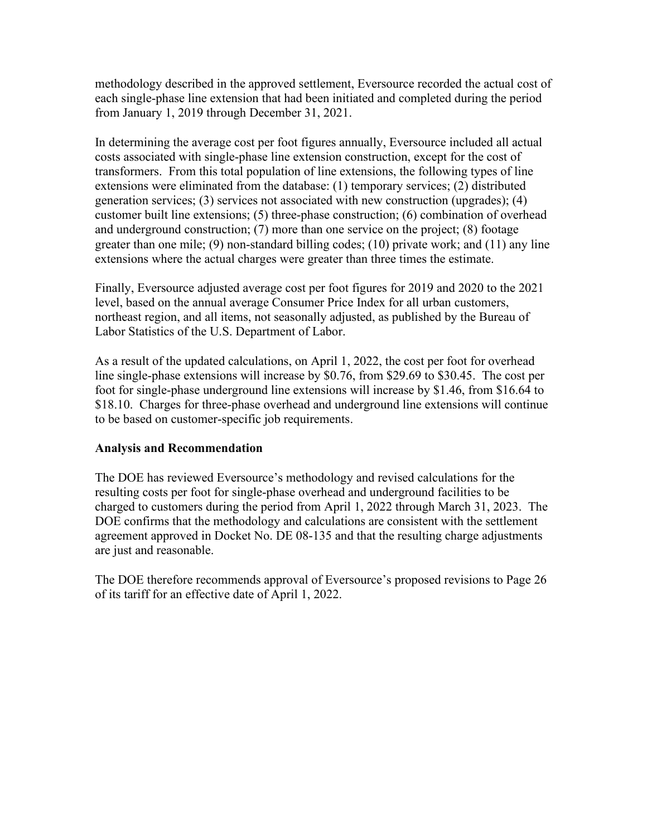methodology described in the approved settlement, Eversource recorded the actual cost of each single-phase line extension that had been initiated and completed during the period from January 1, 2019 through December 31, 2021.

In determining the average cost per foot figures annually, Eversource included all actual costs associated with single-phase line extension construction, except for the cost of transformers. From this total population of line extensions, the following types of line extensions were eliminated from the database: (1) temporary services; (2) distributed generation services; (3) services not associated with new construction (upgrades); (4) customer built line extensions; (5) three-phase construction; (6) combination of overhead and underground construction; (7) more than one service on the project; (8) footage greater than one mile; (9) non-standard billing codes; (10) private work; and (11) any line extensions where the actual charges were greater than three times the estimate.

Finally, Eversource adjusted average cost per foot figures for 2019 and 2020 to the 2021 level, based on the annual average Consumer Price Index for all urban customers, northeast region, and all items, not seasonally adjusted, as published by the Bureau of Labor Statistics of the U.S. Department of Labor.

As a result of the updated calculations, on April 1, 2022, the cost per foot for overhead line single-phase extensions will increase by \$0.76, from \$29.69 to \$30.45. The cost per foot for single-phase underground line extensions will increase by \$1.46, from \$16.64 to \$18.10. Charges for three-phase overhead and underground line extensions will continue to be based on customer-specific job requirements.

## **Analysis and Recommendation**

The DOE has reviewed Eversource's methodology and revised calculations for the resulting costs per foot for single-phase overhead and underground facilities to be charged to customers during the period from April 1, 2022 through March 31, 2023. The DOE confirms that the methodology and calculations are consistent with the settlement agreement approved in Docket No. DE 08-135 and that the resulting charge adjustments are just and reasonable.

The DOE therefore recommends approval of Eversource's proposed revisions to Page 26 of its tariff for an effective date of April 1, 2022.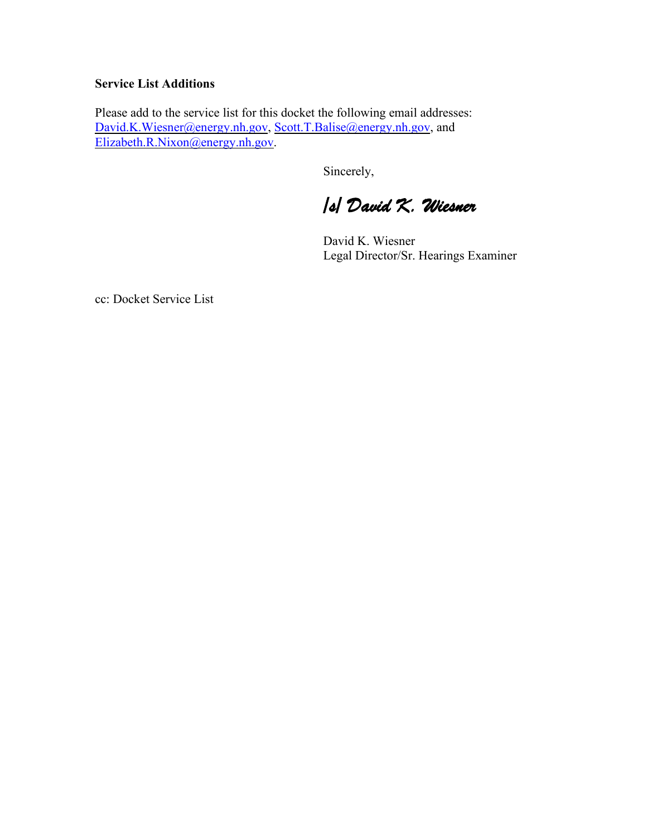## **Service List Additions**

Please add to the service list for this docket the following email addresses: [David.K.Wiesner@energy.nh.gov,](mailto:David.K.Wiesner@energy.nh.gov) [Scott.T.Balise@energy.nh.gov,](mailto:Scott.T.Balise@energy.nh.gov) and [Elizabeth.R.Nixon@energy.nh.gov.](mailto:Elizabeth.R.Nixon@energy.nh.gov)

Sincerely,

*/s/ David K. Wiesner* 

David K. Wiesner Legal Director/Sr. Hearings Examiner

cc: Docket Service List